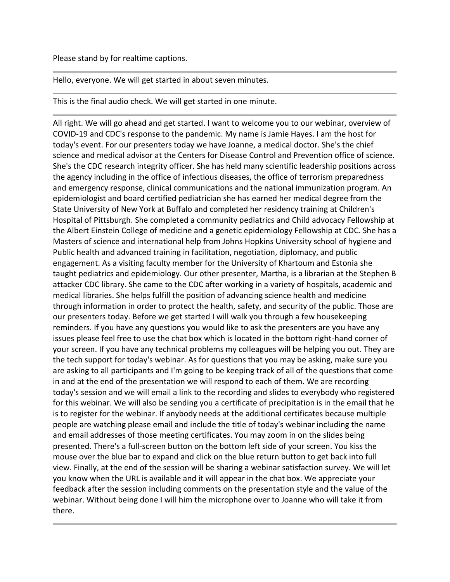## Please stand by for realtime captions.

Hello, everyone. We will get started in about seven minutes.

This is the final audio check. We will get started in one minute.

All right. We will go ahead and get started. I want to welcome you to our webinar, overview of COVID-19 and CDC's response to the pandemic. My name is Jamie Hayes. I am the host for today's event. For our presenters today we have Joanne, a medical doctor. She's the chief science and medical advisor at the Centers for Disease Control and Prevention office of science. She's the CDC research integrity officer. She has held many scientific leadership positions across the agency including in the office of infectious diseases, the office of terrorism preparedness and emergency response, clinical communications and the national immunization program. An epidemiologist and board certified pediatrician she has earned her medical degree from the State University of New York at Buffalo and completed her residency training at Children's Hospital of Pittsburgh. She completed a community pediatrics and Child advocacy Fellowship at the Albert Einstein College of medicine and a genetic epidemiology Fellowship at CDC. She has a Masters of science and international help from Johns Hopkins University school of hygiene and Public health and advanced training in facilitation, negotiation, diplomacy, and public engagement. As a visiting faculty member for the University of Khartoum and Estonia she taught pediatrics and epidemiology. Our other presenter, Martha, is a librarian at the Stephen B attacker CDC library. She came to the CDC after working in a variety of hospitals, academic and medical libraries. She helps fulfill the position of advancing science health and medicine through information in order to protect the health, safety, and security of the public. Those are our presenters today. Before we get started I will walk you through a few housekeeping reminders. If you have any questions you would like to ask the presenters are you have any issues please feel free to use the chat box which is located in the bottom right-hand corner of your screen. If you have any technical problems my colleagues will be helping you out. They are the tech support for today's webinar. As for questions that you may be asking, make sure you are asking to all participants and I'm going to be keeping track of all of the questions that come in and at the end of the presentation we will respond to each of them. We are recording today's session and we will email a link to the recording and slides to everybody who registered for this webinar. We will also be sending you a certificate of precipitation is in the email that he is to register for the webinar. If anybody needs at the additional certificates because multiple people are watching please email and include the title of today's webinar including the name and email addresses of those meeting certificates. You may zoom in on the slides being presented. There's a full-screen button on the bottom left side of your screen. You kiss the mouse over the blue bar to expand and click on the blue return button to get back into full view. Finally, at the end of the session will be sharing a webinar satisfaction survey. We will let you know when the URL is available and it will appear in the chat box. We appreciate your feedback after the session including comments on the presentation style and the value of the webinar. Without being done I will him the microphone over to Joanne who will take it from there.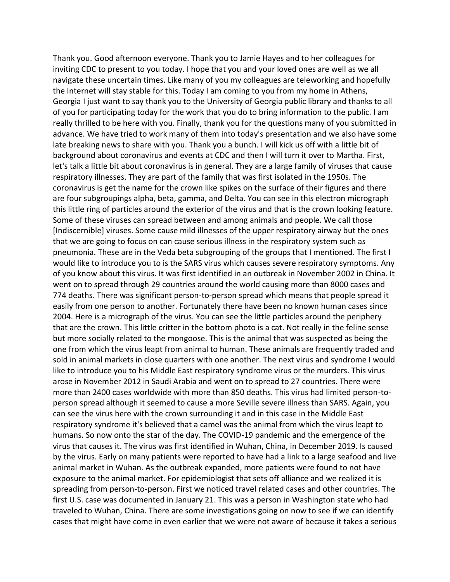Thank you. Good afternoon everyone. Thank you to Jamie Hayes and to her colleagues for inviting CDC to present to you today. I hope that you and your loved ones are well as we all navigate these uncertain times. Like many of you my colleagues are teleworking and hopefully the Internet will stay stable for this. Today I am coming to you from my home in Athens, Georgia I just want to say thank you to the University of Georgia public library and thanks to all of you for participating today for the work that you do to bring information to the public. I am really thrilled to be here with you. Finally, thank you for the questions many of you submitted in advance. We have tried to work many of them into today's presentation and we also have some late breaking news to share with you. Thank you a bunch. I will kick us off with a little bit of background about coronavirus and events at CDC and then I will turn it over to Martha. First, let's talk a little bit about coronavirus is in general. They are a large family of viruses that cause respiratory illnesses. They are part of the family that was first isolated in the 1950s. The coronavirus is get the name for the crown like spikes on the surface of their figures and there are four subgroupings alpha, beta, gamma, and Delta. You can see in this electron micrograph this little ring of particles around the exterior of the virus and that is the crown looking feature. Some of these viruses can spread between and among animals and people. We call those [Indiscernible] viruses. Some cause mild illnesses of the upper respiratory airway but the ones that we are going to focus on can cause serious illness in the respiratory system such as pneumonia. These are in the Veda beta subgrouping of the groups that I mentioned. The first I would like to introduce you to is the SARS virus which causes severe respiratory symptoms. Any of you know about this virus. It was first identified in an outbreak in November 2002 in China. It went on to spread through 29 countries around the world causing more than 8000 cases and 774 deaths. There was significant person-to-person spread which means that people spread it easily from one person to another. Fortunately there have been no known human cases since 2004. Here is a micrograph of the virus. You can see the little particles around the periphery that are the crown. This little critter in the bottom photo is a cat. Not really in the feline sense but more socially related to the mongoose. This is the animal that was suspected as being the one from which the virus leapt from animal to human. These animals are frequently traded and sold in animal markets in close quarters with one another. The next virus and syndrome I would like to introduce you to his Middle East respiratory syndrome virus or the murders. This virus arose in November 2012 in Saudi Arabia and went on to spread to 27 countries. There were more than 2400 cases worldwide with more than 850 deaths. This virus had limited person-toperson spread although it seemed to cause a more Seville severe illness than SARS. Again, you can see the virus here with the crown surrounding it and in this case in the Middle East respiratory syndrome it's believed that a camel was the animal from which the virus leapt to humans. So now onto the star of the day. The COVID-19 pandemic and the emergence of the virus that causes it. The virus was first identified in Wuhan, China, in December 2019. Is caused by the virus. Early on many patients were reported to have had a link to a large seafood and live animal market in Wuhan. As the outbreak expanded, more patients were found to not have exposure to the animal market. For epidemiologist that sets off alliance and we realized it is spreading from person-to-person. First we noticed travel related cases and other countries. The first U.S. case was documented in January 21. This was a person in Washington state who had traveled to Wuhan, China. There are some investigations going on now to see if we can identify cases that might have come in even earlier that we were not aware of because it takes a serious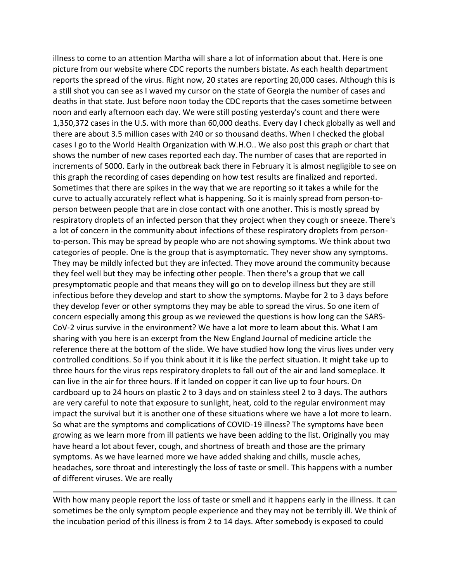illness to come to an attention Martha will share a lot of information about that. Here is one picture from our website where CDC reports the numbers bistate. As each health department reports the spread of the virus. Right now, 20 states are reporting 20,000 cases. Although this is a still shot you can see as I waved my cursor on the state of Georgia the number of cases and deaths in that state. Just before noon today the CDC reports that the cases sometime between noon and early afternoon each day. We were still posting yesterday's count and there were 1,350,372 cases in the U.S. with more than 60,000 deaths. Every day I check globally as well and there are about 3.5 million cases with 240 or so thousand deaths. When I checked the global cases I go to the World Health Organization with W.H.O.. We also post this graph or chart that shows the number of new cases reported each day. The number of cases that are reported in increments of 5000. Early in the outbreak back there in February it is almost negligible to see on this graph the recording of cases depending on how test results are finalized and reported. Sometimes that there are spikes in the way that we are reporting so it takes a while for the curve to actually accurately reflect what is happening. So it is mainly spread from person-toperson between people that are in close contact with one another. This is mostly spread by respiratory droplets of an infected person that they project when they cough or sneeze. There's a lot of concern in the community about infections of these respiratory droplets from personto-person. This may be spread by people who are not showing symptoms. We think about two categories of people. One is the group that is asymptomatic. They never show any symptoms. They may be mildly infected but they are infected. They move around the community because they feel well but they may be infecting other people. Then there's a group that we call presymptomatic people and that means they will go on to develop illness but they are still infectious before they develop and start to show the symptoms. Maybe for 2 to 3 days before they develop fever or other symptoms they may be able to spread the virus. So one item of concern especially among this group as we reviewed the questions is how long can the SARS-CoV-2 virus survive in the environment? We have a lot more to learn about this. What I am sharing with you here is an excerpt from the New England Journal of medicine article the reference there at the bottom of the slide. We have studied how long the virus lives under very controlled conditions. So if you think about it it is like the perfect situation. It might take up to three hours for the virus reps respiratory droplets to fall out of the air and land someplace. It can live in the air for three hours. If it landed on copper it can live up to four hours. On cardboard up to 24 hours on plastic 2 to 3 days and on stainless steel 2 to 3 days. The authors are very careful to note that exposure to sunlight, heat, cold to the regular environment may impact the survival but it is another one of these situations where we have a lot more to learn. So what are the symptoms and complications of COVID-19 illness? The symptoms have been growing as we learn more from ill patients we have been adding to the list. Originally you may have heard a lot about fever, cough, and shortness of breath and those are the primary symptoms. As we have learned more we have added shaking and chills, muscle aches, headaches, sore throat and interestingly the loss of taste or smell. This happens with a number of different viruses. We are really

With how many people report the loss of taste or smell and it happens early in the illness. It can sometimes be the only symptom people experience and they may not be terribly ill. We think of the incubation period of this illness is from 2 to 14 days. After somebody is exposed to could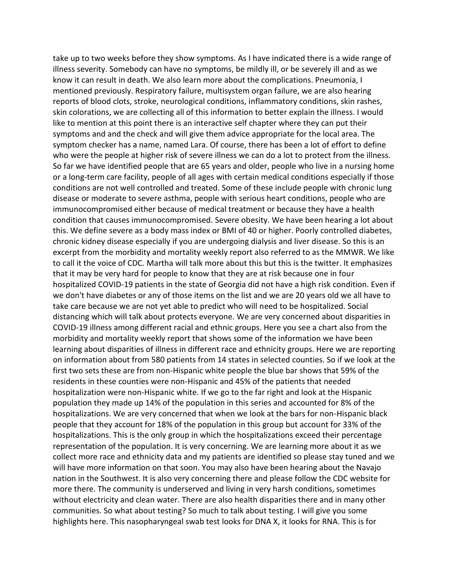take up to two weeks before they show symptoms. As I have indicated there is a wide range of illness severity. Somebody can have no symptoms, be mildly ill, or be severely ill and as we know it can result in death. We also learn more about the complications. Pneumonia, I mentioned previously. Respiratory failure, multisystem organ failure, we are also hearing reports of blood clots, stroke, neurological conditions, inflammatory conditions, skin rashes, skin colorations, we are collecting all of this information to better explain the illness. I would like to mention at this point there is an interactive self chapter where they can put their symptoms and and the check and will give them advice appropriate for the local area. The symptom checker has a name, named Lara. Of course, there has been a lot of effort to define who were the people at higher risk of severe illness we can do a lot to protect from the illness. So far we have identified people that are 65 years and older, people who live in a nursing home or a long-term care facility, people of all ages with certain medical conditions especially if those conditions are not well controlled and treated. Some of these include people with chronic lung disease or moderate to severe asthma, people with serious heart conditions, people who are immunocompromised either because of medical treatment or because they have a health condition that causes immunocompromised. Severe obesity. We have been hearing a lot about this. We define severe as a body mass index or BMI of 40 or higher. Poorly controlled diabetes, chronic kidney disease especially if you are undergoing dialysis and liver disease. So this is an excerpt from the morbidity and mortality weekly report also referred to as the MMWR. We like to call it the voice of CDC. Martha will talk more about this but this is the twitter. It emphasizes that it may be very hard for people to know that they are at risk because one in four hospitalized COVID-19 patients in the state of Georgia did not have a high risk condition. Even if we don't have diabetes or any of those items on the list and we are 20 years old we all have to take care because we are not yet able to predict who will need to be hospitalized. Social distancing which will talk about protects everyone. We are very concerned about disparities in COVID-19 illness among different racial and ethnic groups. Here you see a chart also from the morbidity and mortality weekly report that shows some of the information we have been learning about disparities of illness in different race and ethnicity groups. Here we are reporting on information about from 580 patients from 14 states in selected counties. So if we look at the first two sets these are from non-Hispanic white people the blue bar shows that 59% of the residents in these counties were non-Hispanic and 45% of the patients that needed hospitalization were non-Hispanic white. If we go to the far right and look at the Hispanic population they made up 14% of the population in this series and accounted for 8% of the hospitalizations. We are very concerned that when we look at the bars for non-Hispanic black people that they account for 18% of the population in this group but account for 33% of the hospitalizations. This is the only group in which the hospitalizations exceed their percentage representation of the population. It is very concerning. We are learning more about it as we collect more race and ethnicity data and my patients are identified so please stay tuned and we will have more information on that soon. You may also have been hearing about the Navajo nation in the Southwest. It is also very concerning there and please follow the CDC website for more there. The community is underserved and living in very harsh conditions, sometimes without electricity and clean water. There are also health disparities there and in many other communities. So what about testing? So much to talk about testing. I will give you some highlights here. This nasopharyngeal swab test looks for DNA X, it looks for RNA. This is for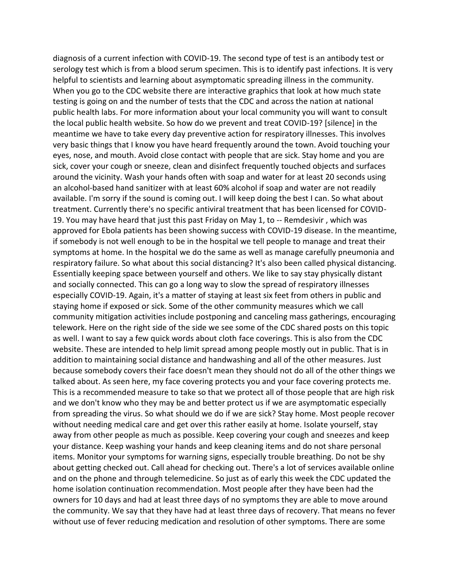diagnosis of a current infection with COVID-19. The second type of test is an antibody test or serology test which is from a blood serum specimen. This is to identify past infections. It is very helpful to scientists and learning about asymptomatic spreading illness in the community. When you go to the CDC website there are interactive graphics that look at how much state testing is going on and the number of tests that the CDC and across the nation at national public health labs. For more information about your local community you will want to consult the local public health website. So how do we prevent and treat COVID-19? [silence] in the meantime we have to take every day preventive action for respiratory illnesses. This involves very basic things that I know you have heard frequently around the town. Avoid touching your eyes, nose, and mouth. Avoid close contact with people that are sick. Stay home and you are sick, cover your cough or sneeze, clean and disinfect frequently touched objects and surfaces around the vicinity. Wash your hands often with soap and water for at least 20 seconds using an alcohol-based hand sanitizer with at least 60% alcohol if soap and water are not readily available. I'm sorry if the sound is coming out. I will keep doing the best I can. So what about treatment. Currently there's no specific antiviral treatment that has been licensed for COVID-19. You may have heard that just this past Friday on May 1, to -- Remdesivir , which was approved for Ebola patients has been showing success with COVID-19 disease. In the meantime, if somebody is not well enough to be in the hospital we tell people to manage and treat their symptoms at home. In the hospital we do the same as well as manage carefully pneumonia and respiratory failure. So what about this social distancing? It's also been called physical distancing. Essentially keeping space between yourself and others. We like to say stay physically distant and socially connected. This can go a long way to slow the spread of respiratory illnesses especially COVID-19. Again, it's a matter of staying at least six feet from others in public and staying home if exposed or sick. Some of the other community measures which we call community mitigation activities include postponing and canceling mass gatherings, encouraging telework. Here on the right side of the side we see some of the CDC shared posts on this topic as well. I want to say a few quick words about cloth face coverings. This is also from the CDC website. These are intended to help limit spread among people mostly out in public. That is in addition to maintaining social distance and handwashing and all of the other measures. Just because somebody covers their face doesn't mean they should not do all of the other things we talked about. As seen here, my face covering protects you and your face covering protects me. This is a recommended measure to take so that we protect all of those people that are high risk and we don't know who they may be and better protect us if we are asymptomatic especially from spreading the virus. So what should we do if we are sick? Stay home. Most people recover without needing medical care and get over this rather easily at home. Isolate yourself, stay away from other people as much as possible. Keep covering your cough and sneezes and keep your distance. Keep washing your hands and keep cleaning items and do not share personal items. Monitor your symptoms for warning signs, especially trouble breathing. Do not be shy about getting checked out. Call ahead for checking out. There's a lot of services available online and on the phone and through telemedicine. So just as of early this week the CDC updated the home isolation continuation recommendation. Most people after they have been had the owners for 10 days and had at least three days of no symptoms they are able to move around the community. We say that they have had at least three days of recovery. That means no fever without use of fever reducing medication and resolution of other symptoms. There are some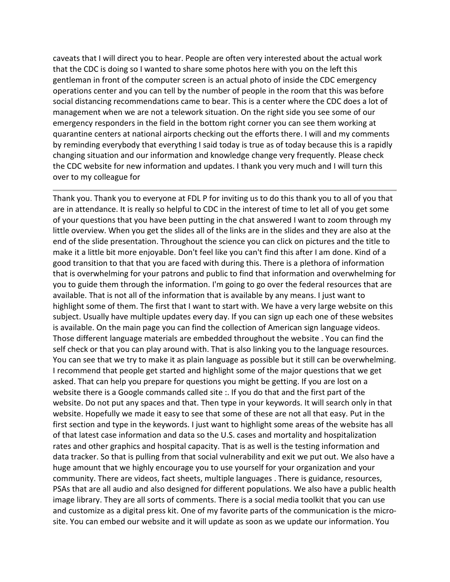caveats that I will direct you to hear. People are often very interested about the actual work that the CDC is doing so I wanted to share some photos here with you on the left this gentleman in front of the computer screen is an actual photo of inside the CDC emergency operations center and you can tell by the number of people in the room that this was before social distancing recommendations came to bear. This is a center where the CDC does a lot of management when we are not a telework situation. On the right side you see some of our emergency responders in the field in the bottom right corner you can see them working at quarantine centers at national airports checking out the efforts there. I will and my comments by reminding everybody that everything I said today is true as of today because this is a rapidly changing situation and our information and knowledge change very frequently. Please check the CDC website for new information and updates. I thank you very much and I will turn this over to my colleague for

Thank you. Thank you to everyone at FDL P for inviting us to do this thank you to all of you that are in attendance. It is really so helpful to CDC in the interest of time to let all of you get some of your questions that you have been putting in the chat answered I want to zoom through my little overview. When you get the slides all of the links are in the slides and they are also at the end of the slide presentation. Throughout the science you can click on pictures and the title to make it a little bit more enjoyable. Don't feel like you can't find this after I am done. Kind of a good transition to that that you are faced with during this. There is a plethora of information that is overwhelming for your patrons and public to find that information and overwhelming for you to guide them through the information. I'm going to go over the federal resources that are available. That is not all of the information that is available by any means. I just want to highlight some of them. The first that I want to start with. We have a very large website on this subject. Usually have multiple updates every day. If you can sign up each one of these websites is available. On the main page you can find the collection of American sign language videos. Those different language materials are embedded throughout the website . You can find the self check or that you can play around with. That is also linking you to the language resources. You can see that we try to make it as plain language as possible but it still can be overwhelming. I recommend that people get started and highlight some of the major questions that we get asked. That can help you prepare for questions you might be getting. If you are lost on a website there is a Google commands called site :. If you do that and the first part of the website. Do not put any spaces and that. Then type in your keywords. It will search only in that website. Hopefully we made it easy to see that some of these are not all that easy. Put in the first section and type in the keywords. I just want to highlight some areas of the website has all of that latest case information and data so the U.S. cases and mortality and hospitalization rates and other graphics and hospital capacity. That is as well is the testing information and data tracker. So that is pulling from that social vulnerability and exit we put out. We also have a huge amount that we highly encourage you to use yourself for your organization and your community. There are videos, fact sheets, multiple languages . There is guidance, resources, PSAs that are all audio and also designed for different populations. We also have a public health image library. They are all sorts of comments. There is a social media toolkit that you can use and customize as a digital press kit. One of my favorite parts of the communication is the microsite. You can embed our website and it will update as soon as we update our information. You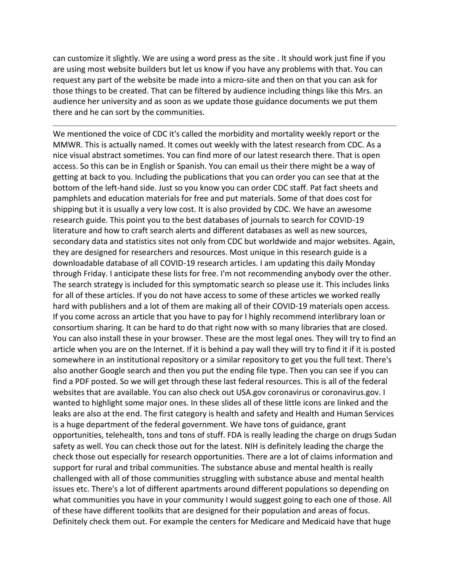can customize it slightly. We are using a word press as the site . It should work just fine if you are using most website builders but let us know if you have any problems with that. You can request any part of the website be made into a micro-site and then on that you can ask for those things to be created. That can be filtered by audience including things like this Mrs. an audience her university and as soon as we update those guidance documents we put them there and he can sort by the communities.

We mentioned the voice of CDC it's called the morbidity and mortality weekly report or the MMWR. This is actually named. It comes out weekly with the latest research from CDC. As a nice visual abstract sometimes. You can find more of our latest research there. That is open access. So this can be in English or Spanish. You can email us their there might be a way of getting at back to you. Including the publications that you can order you can see that at the bottom of the left-hand side. Just so you know you can order CDC staff. Pat fact sheets and pamphlets and education materials for free and put materials. Some of that does cost for shipping but it is usually a very low cost. It is also provided by CDC. We have an awesome research guide. This point you to the best databases of journals to search for COVID-19 literature and how to craft search alerts and different databases as well as new sources, secondary data and statistics sites not only from CDC but worldwide and major websites. Again, they are designed for researchers and resources. Most unique in this research guide is a downloadable database of all COVID-19 research articles. I am updating this daily Monday through Friday. I anticipate these lists for free. I'm not recommending anybody over the other. The search strategy is included for this symptomatic search so please use it. This includes links for all of these articles. If you do not have access to some of these articles we worked really hard with publishers and a lot of them are making all of their COVID-19 materials open access. If you come across an article that you have to pay for I highly recommend interlibrary loan or consortium sharing. It can be hard to do that right now with so many libraries that are closed. You can also install these in your browser. These are the most legal ones. They will try to find an article when you are on the Internet. If it is behind a pay wall they will try to find it if it is posted somewhere in an institutional repository or a similar repository to get you the full text. There's also another Google search and then you put the ending file type. Then you can see if you can find a PDF posted. So we will get through these last federal resources. This is all of the federal websites that are available. You can also check out USA.gov coronavirus or coronavirus.gov. I wanted to highlight some major ones. In these slides all of these little icons are linked and the leaks are also at the end. The first category is health and safety and Health and Human Services is a huge department of the federal government. We have tons of guidance, grant opportunities, telehealth, tons and tons of stuff. FDA is really leading the charge on drugs Sudan safety as well. You can check those out for the latest. NIH is definitely leading the charge the check those out especially for research opportunities. There are a lot of claims information and support for rural and tribal communities. The substance abuse and mental health is really challenged with all of those communities struggling with substance abuse and mental health issues etc. There's a lot of different apartments around different populations so depending on what communities you have in your community I would suggest going to each one of those. All of these have different toolkits that are designed for their population and areas of focus. Definitely check them out. For example the centers for Medicare and Medicaid have that huge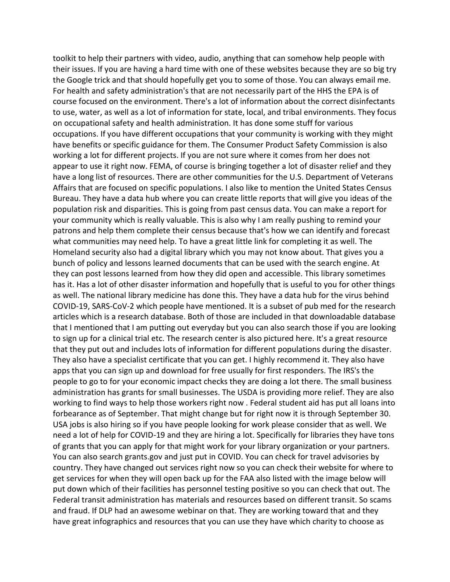toolkit to help their partners with video, audio, anything that can somehow help people with their issues. If you are having a hard time with one of these websites because they are so big try the Google trick and that should hopefully get you to some of those. You can always email me. For health and safety administration's that are not necessarily part of the HHS the EPA is of course focused on the environment. There's a lot of information about the correct disinfectants to use, water, as well as a lot of information for state, local, and tribal environments. They focus on occupational safety and health administration. It has done some stuff for various occupations. If you have different occupations that your community is working with they might have benefits or specific guidance for them. The Consumer Product Safety Commission is also working a lot for different projects. If you are not sure where it comes from her does not appear to use it right now. FEMA, of course is bringing together a lot of disaster relief and they have a long list of resources. There are other communities for the U.S. Department of Veterans Affairs that are focused on specific populations. I also like to mention the United States Census Bureau. They have a data hub where you can create little reports that will give you ideas of the population risk and disparities. This is going from past census data. You can make a report for your community which is really valuable. This is also why I am really pushing to remind your patrons and help them complete their census because that's how we can identify and forecast what communities may need help. To have a great little link for completing it as well. The Homeland security also had a digital library which you may not know about. That gives you a bunch of policy and lessons learned documents that can be used with the search engine. At they can post lessons learned from how they did open and accessible. This library sometimes has it. Has a lot of other disaster information and hopefully that is useful to you for other things as well. The national library medicine has done this. They have a data hub for the virus behind COVID-19, SARS-CoV-2 which people have mentioned. It is a subset of pub med for the research articles which is a research database. Both of those are included in that downloadable database that I mentioned that I am putting out everyday but you can also search those if you are looking to sign up for a clinical trial etc. The research center is also pictured here. It's a great resource that they put out and includes lots of information for different populations during the disaster. They also have a specialist certificate that you can get. I highly recommend it. They also have apps that you can sign up and download for free usually for first responders. The IRS's the people to go to for your economic impact checks they are doing a lot there. The small business administration has grants for small businesses. The USDA is providing more relief. They are also working to find ways to help those workers right now . Federal student aid has put all loans into forbearance as of September. That might change but for right now it is through September 30. USA jobs is also hiring so if you have people looking for work please consider that as well. We need a lot of help for COVID-19 and they are hiring a lot. Specifically for libraries they have tons of grants that you can apply for that might work for your library organization or your partners. You can also search grants.gov and just put in COVID. You can check for travel advisories by country. They have changed out services right now so you can check their website for where to get services for when they will open back up for the FAA also listed with the image below will put down which of their facilities has personnel testing positive so you can check that out. The Federal transit administration has materials and resources based on different transit. So scams and fraud. If DLP had an awesome webinar on that. They are working toward that and they have great infographics and resources that you can use they have which charity to choose as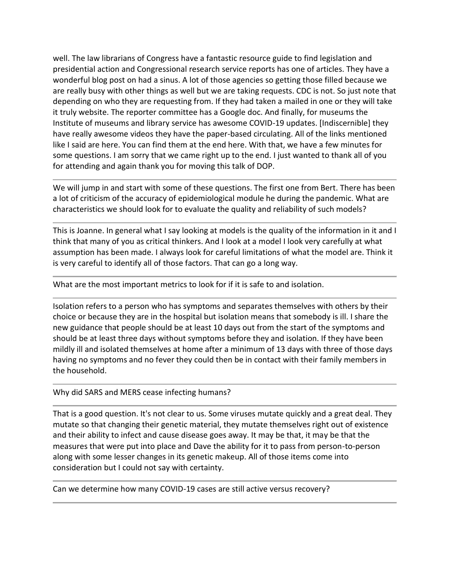well. The law librarians of Congress have a fantastic resource guide to find legislation and presidential action and Congressional research service reports has one of articles. They have a wonderful blog post on had a sinus. A lot of those agencies so getting those filled because we are really busy with other things as well but we are taking requests. CDC is not. So just note that depending on who they are requesting from. If they had taken a mailed in one or they will take it truly website. The reporter committee has a Google doc. And finally, for museums the Institute of museums and library service has awesome COVID-19 updates. [Indiscernible] they have really awesome videos they have the paper-based circulating. All of the links mentioned like I said are here. You can find them at the end here. With that, we have a few minutes for some questions. I am sorry that we came right up to the end. I just wanted to thank all of you for attending and again thank you for moving this talk of DOP.

We will jump in and start with some of these questions. The first one from Bert. There has been a lot of criticism of the accuracy of epidemiological module he during the pandemic. What are characteristics we should look for to evaluate the quality and reliability of such models?

This is Joanne. In general what I say looking at models is the quality of the information in it and I think that many of you as critical thinkers. And I look at a model I look very carefully at what assumption has been made. I always look for careful limitations of what the model are. Think it is very careful to identify all of those factors. That can go a long way.

What are the most important metrics to look for if it is safe to and isolation.

Isolation refers to a person who has symptoms and separates themselves with others by their choice or because they are in the hospital but isolation means that somebody is ill. I share the new guidance that people should be at least 10 days out from the start of the symptoms and should be at least three days without symptoms before they and isolation. If they have been mildly ill and isolated themselves at home after a minimum of 13 days with three of those days having no symptoms and no fever they could then be in contact with their family members in the household.

Why did SARS and MERS cease infecting humans?

That is a good question. It's not clear to us. Some viruses mutate quickly and a great deal. They mutate so that changing their genetic material, they mutate themselves right out of existence and their ability to infect and cause disease goes away. It may be that, it may be that the measures that were put into place and Dave the ability for it to pass from person-to-person along with some lesser changes in its genetic makeup. All of those items come into consideration but I could not say with certainty.

Can we determine how many COVID-19 cases are still active versus recovery?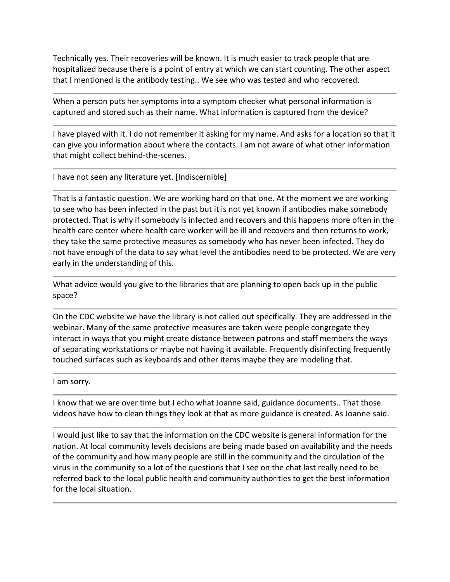Technically yes. Their recoveries will be known. It is much easier to track people that are hospitalized because there is a point of entry at which we can start counting. The other aspect that I mentioned is the antibody testing.. We see who was tested and who recovered.

When a person puts her symptoms into a symptom checker what personal information is captured and stored such as their name. What information is captured from the device?

I have played with it. I do not remember it asking for my name. And asks for a location so that it can give you information about where the contacts. I am not aware of what other information that might collect behind-the-scenes.

I have not seen any literature yet. [Indiscernible]

That is a fantastic question. We are working hard on that one. At the moment we are working to see who has been infected in the past but it is not yet known if antibodies make somebody protected. That is why if somebody is infected and recovers and this happens more often in the health care center where health care worker will be ill and recovers and then returns to work, they take the same protective measures as somebody who has never been infected. They do not have enough of the data to say what level the antibodies need to be protected. We are very early in the understanding of this.

What advice would you give to the libraries that are planning to open back up in the public space?

On the CDC website we have the library is not called out specifically. They are addressed in the webinar. Many of the same protective measures are taken were people congregate they interact in ways that you might create distance between patrons and staff members the ways of separating workstations or maybe not having it available. Frequently disinfecting frequently touched surfaces such as keyboards and other items maybe they are modeling that.

I am sorry.

I know that we are over time but I echo what Joanne said, guidance documents.. That those videos have how to clean things they look at that as more guidance is created. As Joanne said.

I would just like to say that the information on the CDC website is general information for the nation. At local community levels decisions are being made based on availability and the needs of the community and how many people are still in the community and the circulation of the virus in the community so a lot of the questions that I see on the chat last really need to be referred back to the local public health and community authorities to get the best information for the local situation.